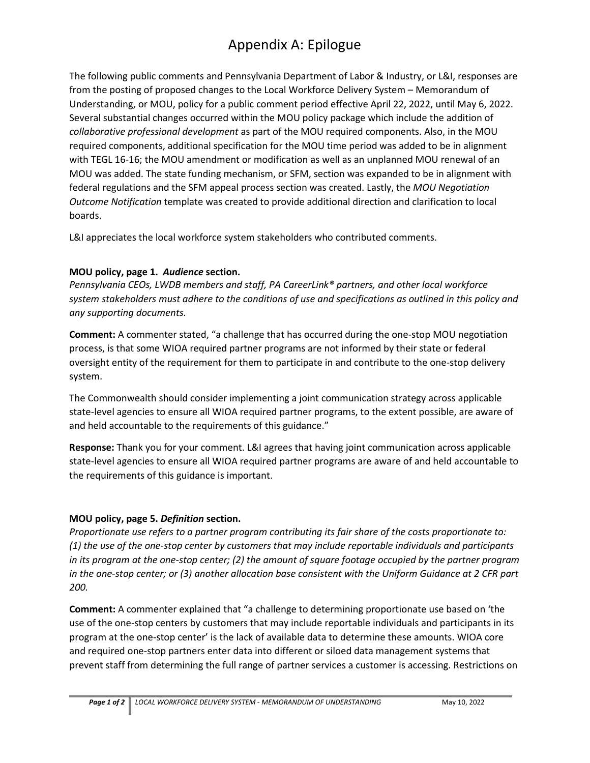# Appendix A: Epilogue

The following public comments and Pennsylvania Department of Labor & Industry, or L&I, responses are from the posting of proposed changes to the Local Workforce Delivery System – Memorandum of Understanding, or MOU, policy for a public comment period effective April 22, 2022, until May 6, 2022. Several substantial changes occurred within the MOU policy package which include the addition of *collaborative professional development* as part of the MOU required components. Also, in the MOU required components, additional specification for the MOU time period was added to be in alignment with TEGL 16-16; the MOU amendment or modification as well as an unplanned MOU renewal of an MOU was added. The state funding mechanism, or SFM, section was expanded to be in alignment with federal regulations and the SFM appeal process section was created. Lastly, the *MOU Negotiation Outcome Notification* template was created to provide additional direction and clarification to local boards.

L&I appreciates the local workforce system stakeholders who contributed comments.

#### **MOU policy, page 1.** *Audience* **section.**

*Pennsylvania CEOs, LWDB members and staff, PA CareerLink® partners, and other local workforce system stakeholders must adhere to the conditions of use and specifications as outlined in this policy and any supporting documents.*

**Comment:** A commenter stated, "a challenge that has occurred during the one-stop MOU negotiation process, is that some WIOA required partner programs are not informed by their state or federal oversight entity of the requirement for them to participate in and contribute to the one-stop delivery system.

The Commonwealth should consider implementing a joint communication strategy across applicable state-level agencies to ensure all WIOA required partner programs, to the extent possible, are aware of and held accountable to the requirements of this guidance."

**Response:** Thank you for your comment. L&I agrees that having joint communication across applicable state-level agencies to ensure all WIOA required partner programs are aware of and held accountable to the requirements of this guidance is important.

### **MOU policy, page 5.** *Definition* **section.**

*Proportionate use refers to a partner program contributing its fair share of the costs proportionate to: (1) the use of the one-stop center by customers that may include reportable individuals and participants in its program at the one-stop center; (2) the amount of square footage occupied by the partner program in the one-stop center; or (3) another allocation base consistent with the Uniform Guidance at 2 CFR part 200.*

**Comment:** A commenter explained that "a challenge to determining proportionate use based on 'the use of the one-stop centers by customers that may include reportable individuals and participants in its program at the one-stop center' is the lack of available data to determine these amounts. WIOA core and required one-stop partners enter data into different or siloed data management systems that prevent staff from determining the full range of partner services a customer is accessing. Restrictions on